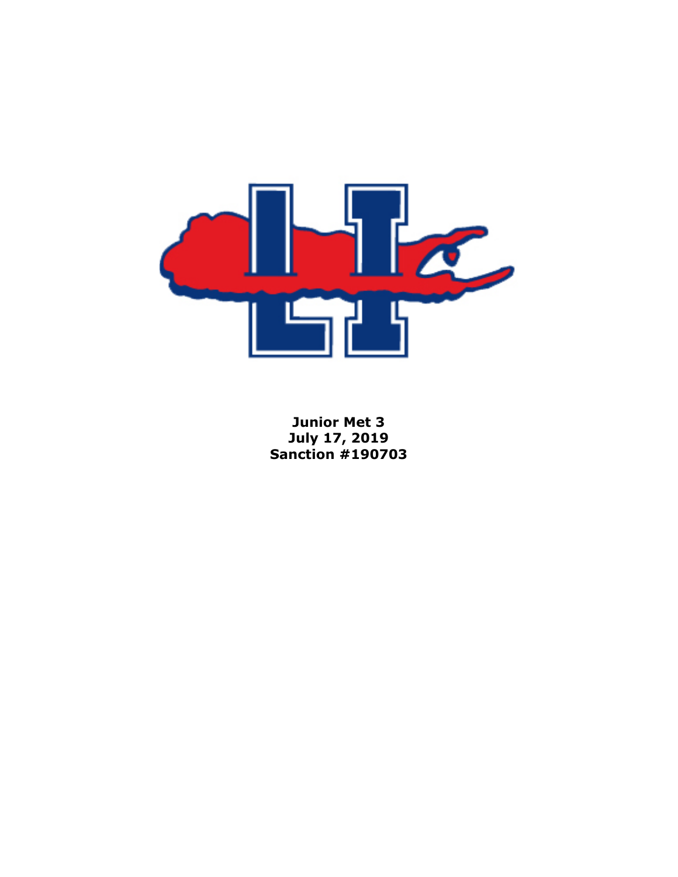

**Junior Met 3 July 17, 2019 Sanction #190703**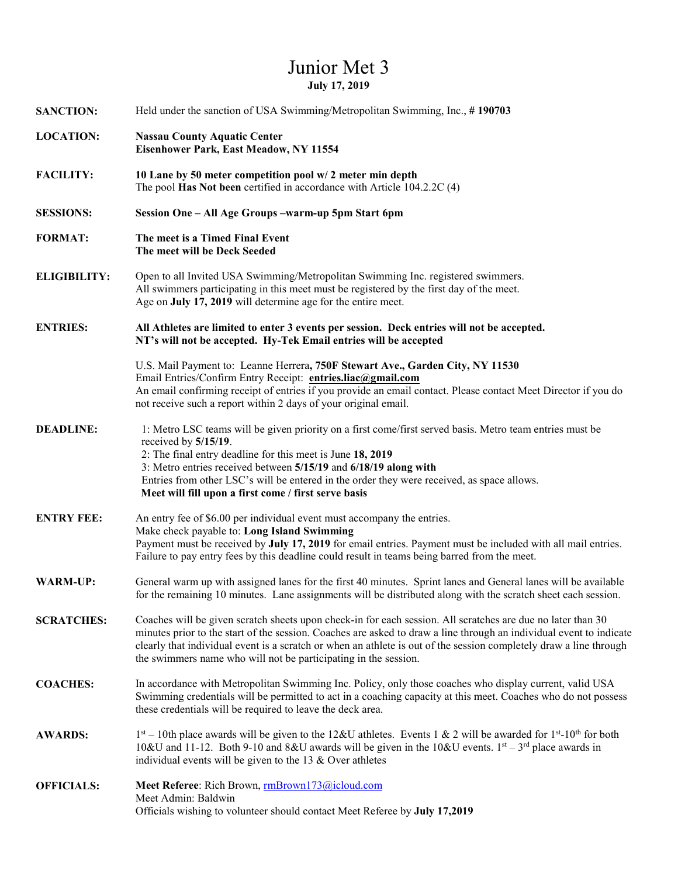## Junior Met 3 **July 17, 2019**

| <b>SANCTION:</b>    | Held under the sanction of USA Swimming/Metropolitan Swimming, Inc., #190703                                                                                                                                                                                                                                                                                                                                                |  |  |
|---------------------|-----------------------------------------------------------------------------------------------------------------------------------------------------------------------------------------------------------------------------------------------------------------------------------------------------------------------------------------------------------------------------------------------------------------------------|--|--|
| <b>LOCATION:</b>    | <b>Nassau County Aquatic Center</b><br>Eisenhower Park, East Meadow, NY 11554                                                                                                                                                                                                                                                                                                                                               |  |  |
| <b>FACILITY:</b>    | 10 Lane by 50 meter competition pool w/2 meter min depth<br>The pool Has Not been certified in accordance with Article 104.2.2C (4)                                                                                                                                                                                                                                                                                         |  |  |
| <b>SESSIONS:</b>    | Session One - All Age Groups -warm-up 5pm Start 6pm                                                                                                                                                                                                                                                                                                                                                                         |  |  |
| <b>FORMAT:</b>      | The meet is a Timed Final Event<br>The meet will be Deck Seeded                                                                                                                                                                                                                                                                                                                                                             |  |  |
| <b>ELIGIBILITY:</b> | Open to all Invited USA Swimming/Metropolitan Swimming Inc. registered swimmers.<br>All swimmers participating in this meet must be registered by the first day of the meet.<br>Age on July 17, 2019 will determine age for the entire meet.                                                                                                                                                                                |  |  |
| <b>ENTRIES:</b>     | All Athletes are limited to enter 3 events per session. Deck entries will not be accepted.<br>NT's will not be accepted. Hy-Tek Email entries will be accepted                                                                                                                                                                                                                                                              |  |  |
|                     | U.S. Mail Payment to: Leanne Herrera, 750F Stewart Ave., Garden City, NY 11530<br>Email Entries/Confirm Entry Receipt: entries.liac@gmail.com<br>An email confirming receipt of entries if you provide an email contact. Please contact Meet Director if you do<br>not receive such a report within 2 days of your original email.                                                                                          |  |  |
| <b>DEADLINE:</b>    | 1: Metro LSC teams will be given priority on a first come/first served basis. Metro team entries must be<br>received by $5/15/19$ .<br>2: The final entry deadline for this meet is June 18, 2019<br>3: Metro entries received between 5/15/19 and 6/18/19 along with<br>Entries from other LSC's will be entered in the order they were received, as space allows.<br>Meet will fill upon a first come / first serve basis |  |  |
| <b>ENTRY FEE:</b>   | An entry fee of \$6.00 per individual event must accompany the entries.<br>Make check payable to: Long Island Swimming<br>Payment must be received by July 17, 2019 for email entries. Payment must be included with all mail entries.<br>Failure to pay entry fees by this deadline could result in teams being barred from the meet.                                                                                      |  |  |
| <b>WARM-UP:</b>     | General warm up with assigned lanes for the first 40 minutes. Sprint lanes and General lanes will be available<br>for the remaining 10 minutes. Lane assignments will be distributed along with the scratch sheet each session.                                                                                                                                                                                             |  |  |
| <b>SCRATCHES:</b>   | Coaches will be given scratch sheets upon check-in for each session. All scratches are due no later than 30<br>minutes prior to the start of the session. Coaches are asked to draw a line through an individual event to indicate<br>clearly that individual event is a scratch or when an athlete is out of the session completely draw a line through<br>the swimmers name who will not be participating in the session. |  |  |
| <b>COACHES:</b>     | In accordance with Metropolitan Swimming Inc. Policy, only those coaches who display current, valid USA<br>Swimming credentials will be permitted to act in a coaching capacity at this meet. Coaches who do not possess<br>these credentials will be required to leave the deck area.                                                                                                                                      |  |  |
| <b>AWARDS:</b>      | $1st - 10th$ place awards will be given to the 12&U athletes. Events 1 & 2 will be awarded for $1st - 10th$ for both<br>10&U and 11-12. Both 9-10 and 8&U awards will be given in the 10&U events. 1 <sup>st</sup> – 3 <sup>rd</sup> place awards in<br>individual events will be given to the 13 $&$ Over athletes                                                                                                         |  |  |
| <b>OFFICIALS:</b>   | Meet Referee: Rich Brown, rmBrown173@icloud.com<br>Meet Admin: Baldwin<br>Officials wishing to volunteer should contact Meet Referee by July 17,2019                                                                                                                                                                                                                                                                        |  |  |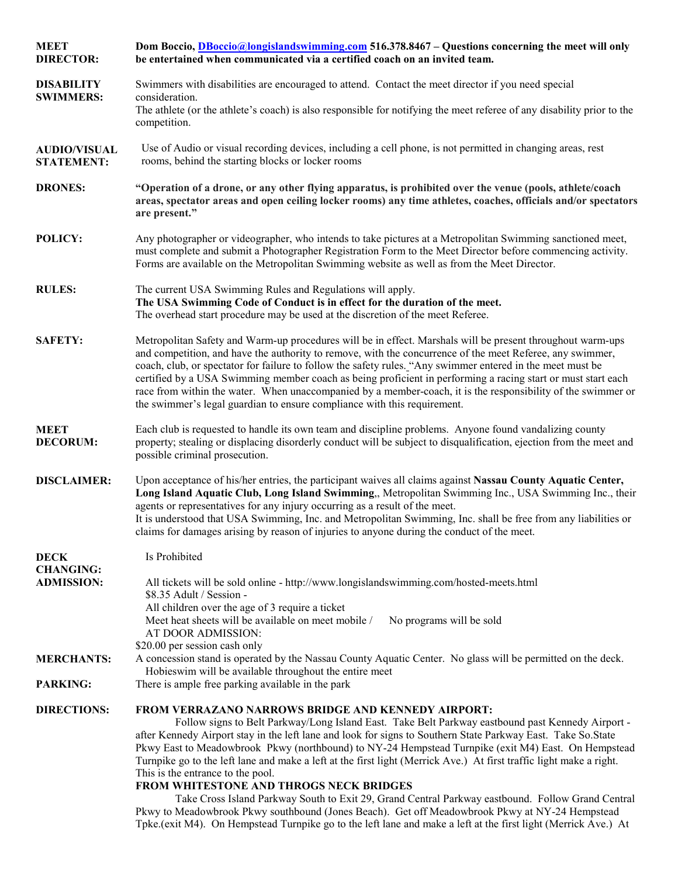| <b>MEET</b><br><b>DIRECTOR:</b>          | Dom Boccio, <i>DBoccio@longislandswimming.com</i> 516.378.8467 – Questions concerning the meet will only<br>be entertained when communicated via a certified coach on an invited team.                                                                                                                                                                                                                                                                                                                                                                                                                                                                                                                                                                                                                                                                                                                                |  |  |
|------------------------------------------|-----------------------------------------------------------------------------------------------------------------------------------------------------------------------------------------------------------------------------------------------------------------------------------------------------------------------------------------------------------------------------------------------------------------------------------------------------------------------------------------------------------------------------------------------------------------------------------------------------------------------------------------------------------------------------------------------------------------------------------------------------------------------------------------------------------------------------------------------------------------------------------------------------------------------|--|--|
| <b>DISABILITY</b>                        | Swimmers with disabilities are encouraged to attend. Contact the meet director if you need special                                                                                                                                                                                                                                                                                                                                                                                                                                                                                                                                                                                                                                                                                                                                                                                                                    |  |  |
| <b>SWIMMERS:</b>                         | consideration.<br>The athlete (or the athlete's coach) is also responsible for notifying the meet referee of any disability prior to the<br>competition.                                                                                                                                                                                                                                                                                                                                                                                                                                                                                                                                                                                                                                                                                                                                                              |  |  |
| <b>AUDIO/VISUAL</b><br><b>STATEMENT:</b> | Use of Audio or visual recording devices, including a cell phone, is not permitted in changing areas, rest<br>rooms, behind the starting blocks or locker rooms                                                                                                                                                                                                                                                                                                                                                                                                                                                                                                                                                                                                                                                                                                                                                       |  |  |
| <b>DRONES:</b>                           | "Operation of a drone, or any other flying apparatus, is prohibited over the venue (pools, athlete/coach<br>areas, spectator areas and open ceiling locker rooms) any time athletes, coaches, officials and/or spectators<br>are present."                                                                                                                                                                                                                                                                                                                                                                                                                                                                                                                                                                                                                                                                            |  |  |
| POLICY:                                  | Any photographer or videographer, who intends to take pictures at a Metropolitan Swimming sanctioned meet,<br>must complete and submit a Photographer Registration Form to the Meet Director before commencing activity.<br>Forms are available on the Metropolitan Swimming website as well as from the Meet Director.                                                                                                                                                                                                                                                                                                                                                                                                                                                                                                                                                                                               |  |  |
| <b>RULES:</b>                            | The current USA Swimming Rules and Regulations will apply.<br>The USA Swimming Code of Conduct is in effect for the duration of the meet.<br>The overhead start procedure may be used at the discretion of the meet Referee.                                                                                                                                                                                                                                                                                                                                                                                                                                                                                                                                                                                                                                                                                          |  |  |
| <b>SAFETY:</b>                           | Metropolitan Safety and Warm-up procedures will be in effect. Marshals will be present throughout warm-ups<br>and competition, and have the authority to remove, with the concurrence of the meet Referee, any swimmer,<br>coach, club, or spectator for failure to follow the safety rules. "Any swimmer entered in the meet must be<br>certified by a USA Swimming member coach as being proficient in performing a racing start or must start each<br>race from within the water. When unaccompanied by a member-coach, it is the responsibility of the swimmer or<br>the swimmer's legal guardian to ensure compliance with this requirement.                                                                                                                                                                                                                                                                     |  |  |
| <b>MEET</b><br><b>DECORUM:</b>           | Each club is requested to handle its own team and discipline problems. Anyone found vandalizing county<br>property; stealing or displacing disorderly conduct will be subject to disqualification, ejection from the meet and<br>possible criminal prosecution.                                                                                                                                                                                                                                                                                                                                                                                                                                                                                                                                                                                                                                                       |  |  |
| <b>DISCLAIMER:</b>                       | Upon acceptance of his/her entries, the participant waives all claims against Nassau County Aquatic Center,<br>Long Island Aquatic Club, Long Island Swimming,, Metropolitan Swimming Inc., USA Swimming Inc., their<br>agents or representatives for any injury occurring as a result of the meet.<br>It is understood that USA Swimming, Inc. and Metropolitan Swimming, Inc. shall be free from any liabilities or<br>claims for damages arising by reason of injuries to anyone during the conduct of the meet.                                                                                                                                                                                                                                                                                                                                                                                                   |  |  |
| <b>DECK</b>                              | Is Prohibited                                                                                                                                                                                                                                                                                                                                                                                                                                                                                                                                                                                                                                                                                                                                                                                                                                                                                                         |  |  |
| <b>CHANGING:</b><br><b>ADMISSION:</b>    | All tickets will be sold online - http://www.longislandswimming.com/hosted-meets.html<br>\$8.35 Adult / Session -<br>All children over the age of 3 require a ticket<br>Meet heat sheets will be available on meet mobile /<br>No programs will be sold<br>AT DOOR ADMISSION:<br>\$20.00 per session cash only                                                                                                                                                                                                                                                                                                                                                                                                                                                                                                                                                                                                        |  |  |
| <b>MERCHANTS:</b>                        | A concession stand is operated by the Nassau County Aquatic Center. No glass will be permitted on the deck.                                                                                                                                                                                                                                                                                                                                                                                                                                                                                                                                                                                                                                                                                                                                                                                                           |  |  |
| <b>PARKING:</b>                          | Hobieswim will be available throughout the entire meet<br>There is ample free parking available in the park                                                                                                                                                                                                                                                                                                                                                                                                                                                                                                                                                                                                                                                                                                                                                                                                           |  |  |
| <b>DIRECTIONS:</b>                       | <b>FROM VERRAZANO NARROWS BRIDGE AND KENNEDY AIRPORT:</b><br>Follow signs to Belt Parkway/Long Island East. Take Belt Parkway eastbound past Kennedy Airport -<br>after Kennedy Airport stay in the left lane and look for signs to Southern State Parkway East. Take So.State<br>Pkwy East to Meadowbrook Pkwy (northbound) to NY-24 Hempstead Turnpike (exit M4) East. On Hempstead<br>Turnpike go to the left lane and make a left at the first light (Merrick Ave.) At first traffic light make a right.<br>This is the entrance to the pool.<br>FROM WHITESTONE AND THROGS NECK BRIDGES<br>Take Cross Island Parkway South to Exit 29, Grand Central Parkway eastbound. Follow Grand Central<br>Pkwy to Meadowbrook Pkwy southbound (Jones Beach). Get off Meadowbrook Pkwy at NY-24 Hempstead<br>Tpke.(exit M4). On Hempstead Turnpike go to the left lane and make a left at the first light (Merrick Ave.) At |  |  |